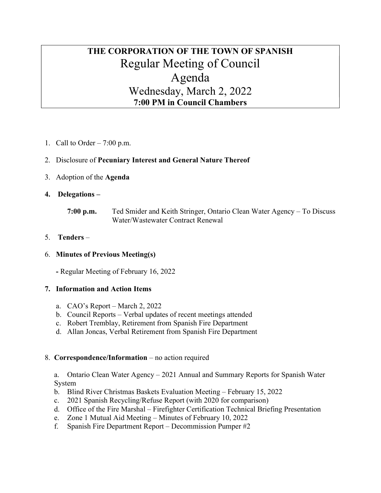# THE CORPORATION OF THE TOWN OF SPANISH Regular Meeting of Council Agenda Wednesday, March 2, 2022 7:00 PM in Council Chambers

1. Call to Order  $-7:00$  p.m.

# 2. Disclosure of Pecuniary Interest and General Nature Thereof

- 3. Adoption of the Agenda
- 4. Delegations
	- 7:00 p.m. Ted Smider and Keith Stringer, Ontario Clean Water Agency To Discuss Water/Wastewater Contract Renewal

## 5. Tenders –

#### 6. Minutes of Previous Meeting(s)

- Regular Meeting of February 16, 2022

#### 7. Information and Action Items

- a. CAO's Report March 2, 2022
- b. Council Reports Verbal updates of recent meetings attended
- c. Robert Tremblay, Retirement from Spanish Fire Department
- d. Allan Joncas, Verbal Retirement from Spanish Fire Department

#### 8. Correspondence/Information – no action required

a. Ontario Clean Water Agency – 2021 Annual and Summary Reports for Spanish Water System

- b. Blind River Christmas Baskets Evaluation Meeting February 15, 2022
- c. 2021 Spanish Recycling/Refuse Report (with 2020 for comparison)
- d. Office of the Fire Marshal Firefighter Certification Technical Briefing Presentation
- e. Zone 1 Mutual Aid Meeting Minutes of February 10, 2022
- f. Spanish Fire Department Report Decommission Pumper #2